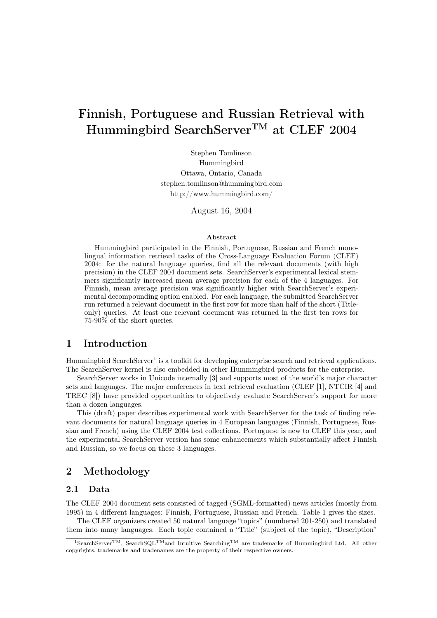# Finnish, Portuguese and Russian Retrieval with Hummingbird SearchServerTM at CLEF 2004

Stephen Tomlinson Hummingbird Ottawa, Ontario, Canada stephen.tomlinson@hummingbird.com http://www.hummingbird.com/

August 16, 2004

#### Abstract

Hummingbird participated in the Finnish, Portuguese, Russian and French monolingual information retrieval tasks of the Cross-Language Evaluation Forum (CLEF) 2004: for the natural language queries, find all the relevant documents (with high precision) in the CLEF 2004 document sets. SearchServer's experimental lexical stemmers significantly increased mean average precision for each of the 4 languages. For Finnish, mean average precision was significantly higher with SearchServer's experimental decompounding option enabled. For each language, the submitted SearchServer run returned a relevant document in the first row for more than half of the short (Titleonly) queries. At least one relevant document was returned in the first ten rows for 75-90% of the short queries.

## 1 Introduction

Hummingbird SearchServer<sup>1</sup> is a toolkit for developing enterprise search and retrieval applications. The SearchServer kernel is also embedded in other Hummingbird products for the enterprise.

SearchServer works in Unicode internally [3] and supports most of the world's major character sets and languages. The major conferences in text retrieval evaluation (CLEF [1], NTCIR [4] and TREC [8]) have provided opportunities to objectively evaluate SearchServer's support for more than a dozen languages.

This (draft) paper describes experimental work with SearchServer for the task of finding relevant documents for natural language queries in 4 European languages (Finnish, Portuguese, Russian and French) using the CLEF 2004 test collections. Portuguese is new to CLEF this year, and the experimental SearchServer version has some enhancements which substantially affect Finnish and Russian, so we focus on these 3 languages.

## 2 Methodology

#### 2.1 Data

The CLEF 2004 document sets consisted of tagged (SGML-formatted) news articles (mostly from 1995) in 4 different languages: Finnish, Portuguese, Russian and French. Table 1 gives the sizes.

The CLEF organizers created 50 natural language "topics" (numbered 201-250) and translated them into many languages. Each topic contained a "Title" (subject of the topic), "Description"

 $1$ SearchServer<sup>TM</sup>, SearchSQL<sup>TM</sup>and Intuitive Searching<sup>TM</sup> are trademarks of Hummingbird Ltd. All other copyrights, trademarks and tradenames are the property of their respective owners.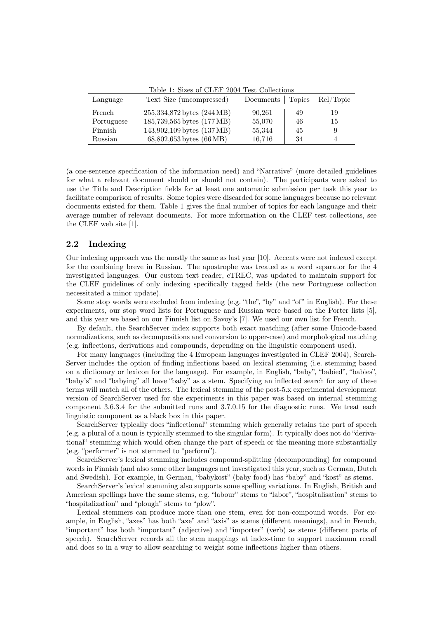| Language   | Text Size (uncompressed)   | Documents   Topics   Rel/Topic |    |    |
|------------|----------------------------|--------------------------------|----|----|
| French     | 255,334,872 bytes (244 MB) | 90,261                         | 49 | 19 |
| Portuguese | 185,739,565 bytes (177 MB) | 55,070                         | 46 | 15 |
| Finnish    | 143,902,109 bytes (137 MB) | 55,344                         | 45 | 9  |
| Russian    | 68,802,653 bytes (66 MB)   | 16,716                         | 34 | 4  |

Table 1: Sizes of CLEF 2004 Test Collections

(a one-sentence specification of the information need) and "Narrative" (more detailed guidelines for what a relevant document should or should not contain). The participants were asked to use the Title and Description fields for at least one automatic submission per task this year to facilitate comparison of results. Some topics were discarded for some languages because no relevant documents existed for them. Table 1 gives the final number of topics for each language and their average number of relevant documents. For more information on the CLEF test collections, see the CLEF web site [1].

## 2.2 Indexing

Our indexing approach was the mostly the same as last year [10]. Accents were not indexed except for the combining breve in Russian. The apostrophe was treated as a word separator for the 4 investigated languages. Our custom text reader, cTREC, was updated to maintain support for the CLEF guidelines of only indexing specifically tagged fields (the new Portuguese collection necessitated a minor update).

Some stop words were excluded from indexing (e.g. "the", "by" and "of" in English). For these experiments, our stop word lists for Portuguese and Russian were based on the Porter lists [5], and this year we based on our Finnish list on Savoy's [7]. We used our own list for French.

By default, the SearchServer index supports both exact matching (after some Unicode-based normalizations, such as decompositions and conversion to upper-case) and morphological matching (e.g. inflections, derivations and compounds, depending on the linguistic component used).

For many languages (including the 4 European languages investigated in CLEF 2004), Search-Server includes the option of finding inflections based on lexical stemming (i.e. stemming based on a dictionary or lexicon for the language). For example, in English, "baby", "babied", "babies", "baby's" and "babying" all have "baby" as a stem. Specifying an inflected search for any of these terms will match all of the others. The lexical stemming of the post-5.x experimental development version of SearchServer used for the experiments in this paper was based on internal stemming component 3.6.3.4 for the submitted runs and 3.7.0.15 for the diagnostic runs. We treat each linguistic component as a black box in this paper.

SearchServer typically does "inflectional" stemming which generally retains the part of speech (e.g. a plural of a noun is typically stemmed to the singular form). It typically does not do "derivational" stemming which would often change the part of speech or the meaning more substantially (e.g. "performer" is not stemmed to "perform").

SearchServer's lexical stemming includes compound-splitting (decompounding) for compound words in Finnish (and also some other languages not investigated this year, such as German, Dutch and Swedish). For example, in German, "babykost" (baby food) has "baby" and "kost" as stems.

SearchServer's lexical stemming also supports some spelling variations. In English, British and American spellings have the same stems, e.g. "labour" stems to "labor", "hospitalisation" stems to "hospitalization" and "plough" stems to "plow".

Lexical stemmers can produce more than one stem, even for non-compound words. For example, in English, "axes" has both "axe" and "axis" as stems (different meanings), and in French, "important" has both "important" (adjective) and "importer" (verb) as stems (different parts of speech). SearchServer records all the stem mappings at index-time to support maximum recall and does so in a way to allow searching to weight some inflections higher than others.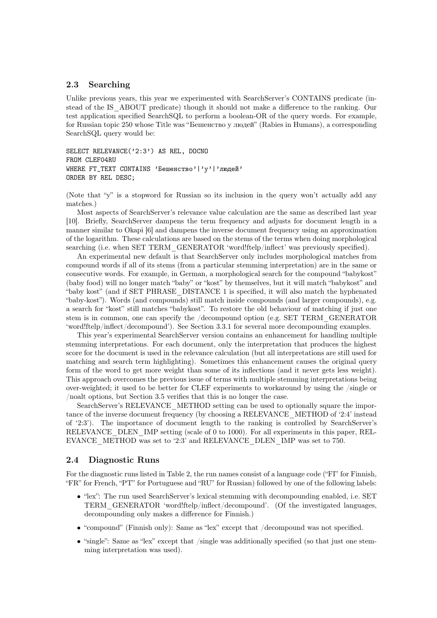#### 2.3 Searching

Unlike previous years, this year we experimented with SearchServer's CONTAINS predicate (instead of the IS\_ABOUT predicate) though it should not make a difference to the ranking. Our test application specified SearchSQL to perform a boolean-OR of the query words. For example, for Russian topic 250 whose Title was "Бешенство у людей" (Rabies in Humans), a corresponding SearchSQL query would be:

SELECT RELEVANCE('2:3') AS REL, DOCNO FROM CLEF04RU WHERE FT\_TEXT CONTAINS 'Бешенство'|'у'|'людей' ORDER BY REL DESC;

(Note that "у" is a stopword for Russian so its inclusion in the query won't actually add any matches.)

Most aspects of SearchServer's relevance value calculation are the same as described last year [10]. Briefly, SearchServer dampens the term frequency and adjusts for document length in a manner similar to Okapi [6] and dampens the inverse document frequency using an approximation of the logarithm. These calculations are based on the stems of the terms when doing morphological searching (i.e. when SET TERM\_GENERATOR 'word!ftelp/inflect' was previously specified).

An experimental new default is that SearchServer only includes morphological matches from compound words if all of its stems (from a particular stemming interpretation) are in the same or consecutive words. For example, in German, a morphological search for the compound "babykost" (baby food) will no longer match "baby" or "kost" by themselves, but it will match "babykost" and "baby kost" (and if SET PHRASE\_DISTANCE 1 is specified, it will also match the hyphenated "baby-kost"). Words (and compounds) still match inside compounds (and larger compounds), e.g. a search for "kost" still matches "babykost". To restore the old behaviour of matching if just one stem is in common, one can specify the /decompound option (e.g. SET TERM\_GENERATOR 'word!ftelp/inflect/decompound'). See Section 3.3.1 for several more decompounding examples.

This year's experimental SearchServer version contains an enhancement for handling multiple stemming interpretations. For each document, only the interpretation that produces the highest score for the document is used in the relevance calculation (but all interpretations are still used for matching and search term highlighting). Sometimes this enhancement causes the original query form of the word to get more weight than some of its inflections (and it never gets less weight). This approach overcomes the previous issue of terms with multiple stemming interpretations being over-weighted; it used to be better for CLEF experiments to workaround by using the /single or /noalt options, but Section 3.5 verifies that this is no longer the case.

SearchServer's RELEVANCE\_METHOD setting can be used to optionally square the importance of the inverse document frequency (by choosing a RELEVANCE\_METHOD of '2:4' instead of '2:3'). The importance of document length to the ranking is controlled by SearchServer's RELEVANCE DLEN IMP setting (scale of 0 to 1000). For all experiments in this paper, REL-EVANCE\_METHOD was set to '2:3' and RELEVANCE\_DLEN\_IMP was set to 750.

#### 2.4 Diagnostic Runs

For the diagnostic runs listed in Table 2, the run names consist of a language code ("FI" for Finnish, "FR" for French, "PT" for Portuguese and "RU" for Russian) followed by one of the following labels:

- "lex": The run used SearchServer's lexical stemming with decompounding enabled, i.e. SET TERM\_GENERATOR 'word!ftelp/inflect/decompound'. (Of the investigated languages, decompounding only makes a difference for Finnish.)
- "compound" (Finnish only): Same as "lex" except that /decompound was not specified.
- "single": Same as "lex" except that /single was additionally specified (so that just one stemming interpretation was used).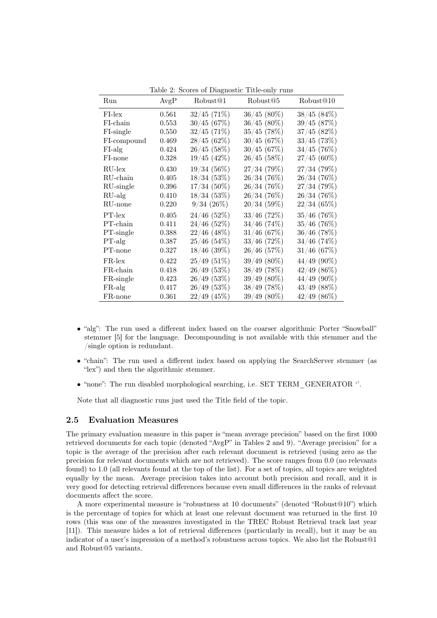| Run         | AvgP  | Robust@1      | Robust@5       | Robust@10        |
|-------------|-------|---------------|----------------|------------------|
| FI-lex      | 0.561 | 32/45(71%)    | $36/45(80\%)$  | 38/45(84%)       |
| FI-chain    | 0.553 | 30/45(67%)    | $36/45(80\%)$  | 39/45(87%)       |
| FI-single   | 0.550 | $32/45$ (71%) | $35/45$ (78%)  | 37/45(82%)       |
| FI-compound | 0.469 | 28/45(62%)    | 30/45(67%)     | $33/45$ (73\%)   |
| $FL-alg$    | 0.424 | 26/45(58%)    | 30/45(67%)     | $34/45$ (76%)    |
| FI-none     | 0.328 | 19/45(42%)    | 26/45(58%)     | $27/45(60\%)$    |
| RU-lex      | 0.430 | $19/34(56\%)$ | 27/34(79%)     | 27/34(79%)       |
| RU-chain    | 0.405 | 18/34(53%)    | 26/34(76%)     | 26/34(76%)       |
| RU-single   | 0.396 | $17/34$ (50%) | 26/34(76%)     | 27/34(79%)       |
| $RU-alg$    | 0.410 | 18/34(53%)    | 26/34(76%)     | 26/34(76%)       |
| RU-none     | 0.220 | $9/34(26\%)$  | 20/34(59%)     | 22/34(65%)       |
| $PT$ -lex   | 0.405 | $24/46$ (52%) | $33/46$ (72%)  | $35/46$ (76%)    |
| PT-chain    | 0.411 | $24/46$ (52%) | $34/46$ (74\%) | $35/46$ (76%)    |
| PT-single   | 0.388 | $22/46$ (48%) | $31/46$ (67\%) | $36/46$ (78%)    |
| $PT-alg$    | 0.387 | $25/46$ (54%) | $33/46$ (72%)  | $34/46$ $(74\%)$ |
| $PT$ -none  | 0.327 | $18/46$ (39%) | $26/46$ (57%)  | $31/46$ (67%)    |
| $FR$ -lex   | 0.422 | 25/49(51%)    | $39/49(80\%)$  | $44/49$ (90%)    |
| FR-chain    | 0.418 | 26/49(53%)    | $38/49$ (78%)  | $42/49$ $(86\%)$ |
| FR-single   | 0.423 | 26/49(53%)    | $39/49(80\%)$  | $44/49$ (90%)    |
| $FR$ -alg   | 0.417 | $26/49$ (53%) | $38/49$ (78%)  | $43/49$ $(88\%)$ |
| FR-none     | 0.361 | 22/49(45%)    | $39/49~(80\%)$ | $42/49(86\%)$    |

Table 2: Scores of Diagnostic Title-only runs

- "alg": The run used a different index based on the coarser algorithmic Porter "Snowball" stemmer [5] for the language. Decompounding is not available with this stemmer and the /single option is redundant.
- "chain": The run used a different index based on applying the SearchServer stemmer (as "lex") and then the algorithmic stemmer.
- "none": The run disabled morphological searching, i.e. SET TERM GENERATOR  $\cdot$ ".

Note that all diagnostic runs just used the Title field of the topic.

#### 2.5 Evaluation Measures

The primary evaluation measure in this paper is "mean average precision" based on the first 1000 retrieved documents for each topic (denoted "AvgP" in Tables 2 and 9). "Average precision" for a topic is the average of the precision after each relevant document is retrieved (using zero as the precision for relevant documents which are not retrieved). The score ranges from 0.0 (no relevants found) to 1.0 (all relevants found at the top of the list). For a set of topics, all topics are weighted equally by the mean. Average precision takes into account both precision and recall, and it is very good for detecting retrieval differences because even small differences in the ranks of relevant documents affect the score.

A more experimental measure is "robustness at 10 documents" (denoted "Robust@10") which is the percentage of topics for which at least one relevant document was returned in the first 10 rows (this was one of the measures investigated in the TREC Robust Retrieval track last year [11]). This measure hides a lot of retrieval differences (particularly in recall), but it may be an indicator of a user's impression of a method's robustness across topics. We also list the Robust@1 and Robust@5 variants.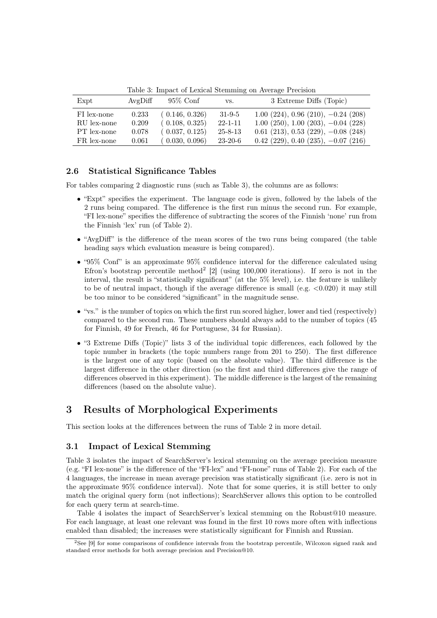| Expt        | AvgDiff | $95\%$ Conf    | VS.           | 3 Extreme Diffs (Topic)                           |
|-------------|---------|----------------|---------------|---------------------------------------------------|
| FI lex-none | 0.233   | (0.146, 0.326) | $31 - 9 - 5$  | $1.00$ (224), 0.96 (210), $-0.24$ (208)           |
| RU lex-none | 0.209   | (0.108, 0.325) | $22 - 1 - 11$ | $1.00$ $(250)$ , $1.00$ $(203)$ , $-0.04$ $(228)$ |
| PT lex-none | 0.078   | (0.037, 0.125) | $25 - 8 - 13$ | $0.61$ (213), 0.53 (229), $-0.08$ (248)           |
| FR lex-none | 0.061   | (0.030, 0.096) | $23 - 20 - 6$ | $0.42$ (229), 0.40 (235), $-0.07$ (216)           |

Table 3: Impact of Lexical Stemming on Average Precision

## 2.6 Statistical Significance Tables

For tables comparing 2 diagnostic runs (such as Table 3), the columns are as follows:

- "Expt" specifies the experiment. The language code is given, followed by the labels of the 2 runs being compared. The difference is the first run minus the second run. For example, "FI lex-none" specifies the difference of subtracting the scores of the Finnish 'none' run from the Finnish 'lex' run (of Table 2).
- "AvgDiff" is the difference of the mean scores of the two runs being compared (the table heading says which evaluation measure is being compared).
- "95% Conf" is an approximate  $95\%$  confidence interval for the difference calculated using Efron's bootstrap percentile method<sup>2</sup> [2] (using 100,000 iterations). If zero is not in the interval, the result is "statistically significant" (at the 5% level), i.e. the feature is unlikely to be of neutral impact, though if the average difference is small (e.g.  $\lt 0.020$ ) it may still be too minor to be considered "significant" in the magnitude sense.
- $\bullet$  "vs." is the number of topics on which the first run scored higher, lower and tied (respectively) compared to the second run. These numbers should always add to the number of topics (45 for Finnish, 49 for French, 46 for Portuguese, 34 for Russian).
- "3 Extreme Diffs (Topic)" lists 3 of the individual topic differences, each followed by the topic number in brackets (the topic numbers range from 201 to 250). The first difference is the largest one of any topic (based on the absolute value). The third difference is the largest difference in the other direction (so the first and third differences give the range of differences observed in this experiment). The middle difference is the largest of the remaining differences (based on the absolute value).

## 3 Results of Morphological Experiments

This section looks at the differences between the runs of Table 2 in more detail.

## 3.1 Impact of Lexical Stemming

Table 3 isolates the impact of SearchServer's lexical stemming on the average precision measure (e.g. "FI lex-none" is the difference of the "FI-lex" and "FI-none" runs of Table 2). For each of the 4 languages, the increase in mean average precision was statistically significant (i.e. zero is not in the approximate 95% confidence interval). Note that for some queries, it is still better to only match the original query form (not inflections); SearchServer allows this option to be controlled for each query term at search-time.

Table 4 isolates the impact of SearchServer's lexical stemming on the Robust@10 measure. For each language, at least one relevant was found in the first 10 rows more often with inflections enabled than disabled; the increases were statistically significant for Finnish and Russian.

<sup>2</sup>See [9] for some comparisons of confidence intervals from the bootstrap percentile, Wilcoxon signed rank and standard error methods for both average precision and Precision@10.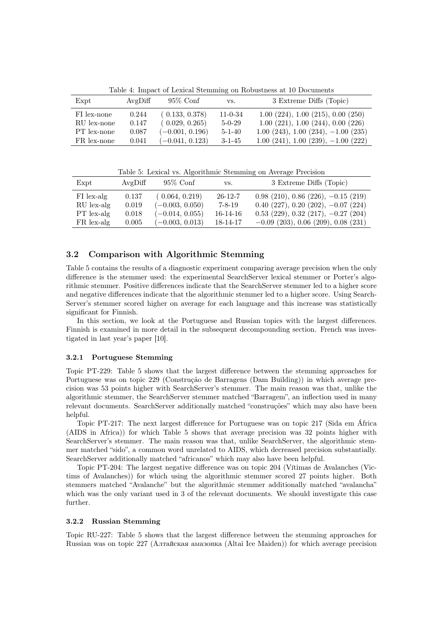Table 4: Impact of Lexical Stemming on Robustness at 10 Documents

| Expt        | AvgDiff | $95\%$ Conf       | VS.           | 3 Extreme Diffs (Topic)                           |
|-------------|---------|-------------------|---------------|---------------------------------------------------|
| FI lex-none | 0.244   | (0.133, 0.378)    | $11 - 0 - 34$ | $1.00$ $(224)$ , $1.00$ $(215)$ , $0.00$ $(250)$  |
| RU lex-none | 0.147   | (0.029, 0.265)    | $5 - 0 - 29$  | $1.00$ $(221)$ , $1.00$ $(244)$ , $0.00$ $(226)$  |
| PT lex-none | 0.087   | $(-0.001, 0.196)$ | $5 - 1 - 40$  | $1.00$ $(243)$ , $1.00$ $(234)$ , $-1.00$ $(235)$ |
| FR lex-none | 0.041   | $(-0.041, 0.123)$ | $3 - 1 - 45$  | $1.00$ $(241)$ , $1.00$ $(239)$ , $-1.00$ $(222)$ |

Table 5: Lexical vs. Algorithmic Stemming on Average Precision

| Expt       | AvgDiff | $95\%$ Conf       | VS.           | 3 Extreme Diffs (Topic)                   |
|------------|---------|-------------------|---------------|-------------------------------------------|
| FI lex-alg | 0.137   | (0.064, 0.219)    | $26 - 12 - 7$ | $0.98$ (210), 0.86 (226), $-0.15$ (219)   |
| RU lex-alg | 0.019   | $(-0.003, 0.050)$ | $7 - 8 - 19$  | $0.40$ (227), $0.20$ (202), $-0.07$ (224) |
| PT lex-alg | 0.018   | $(-0.014, 0.055)$ | $16-14-16$    | $0.53$ (229), $0.32$ (217), $-0.27$ (204) |
| FR lex-alg | 0.005   | $(-0.003, 0.013)$ | 18-14-17      | $-0.09$ (203), 0.06 (209), 0.08 (231)     |

## 3.2 Comparison with Algorithmic Stemming

Table 5 contains the results of a diagnostic experiment comparing average precision when the only difference is the stemmer used: the experimental SearchServer lexical stemmer or Porter's algorithmic stemmer. Positive differences indicate that the SearchServer stemmer led to a higher score and negative differences indicate that the algorithmic stemmer led to a higher score. Using Search-Server's stemmer scored higher on average for each language and this increase was statistically significant for Finnish.

In this section, we look at the Portuguese and Russian topics with the largest differences. Finnish is examined in more detail in the subsequent decompounding section. French was investigated in last year's paper [10].

#### 3.2.1 Portuguese Stemming

Topic PT-229: Table 5 shows that the largest difference between the stemming approaches for Portuguese was on topic 229 (Construção de Barragens (Dam Building)) in which average precision was 53 points higher with SearchServer's stemmer. The main reason was that, unlike the algorithmic stemmer, the SearchServer stemmer matched "Barragem", an inflection used in many relevant documents. SearchServer additionally matched "construções" which may also have been helpful.

Topic PT-217: The next largest difference for Portuguese was on topic 217 (Sida em Africa ´ (AIDS in Africa)) for which Table 5 shows that average precision was 32 points higher with SearchServer's stemmer. The main reason was that, unlike SearchServer, the algorithmic stemmer matched "sido", a common word unrelated to AIDS, which decreased precision substantially. SearchServer additionally matched "africanos" which may also have been helpful.

Topic PT-204: The largest negative difference was on topic 204 (Vitimas de Avalanches (Victims of Avalanches)) for which using the algorithmic stemmer scored 27 points higher. Both stemmers matched "Avalanche" but the algorithmic stemmer additionally matched "avalancha" which was the only variant used in 3 of the relevant documents. We should investigate this case further.

#### 3.2.2 Russian Stemming

Topic RU-227: Table 5 shows that the largest difference between the stemming approaches for Russian was on topic 227 (Алтайская амазонка (Altai Ice Maiden)) for which average precision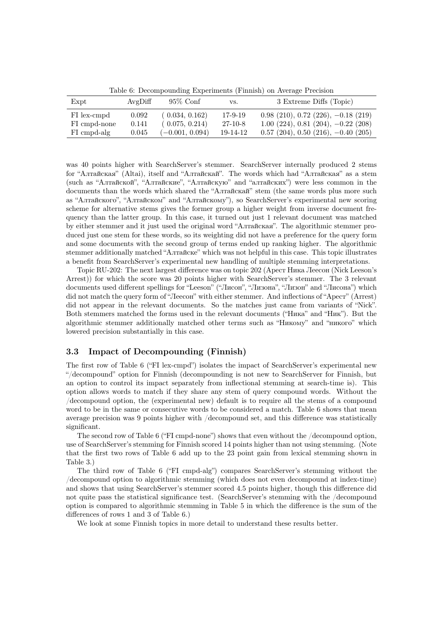| Expt         | AvgDiff | $95\%$ Conf       | VS.       | 3 Extreme Diffs (Topic)                 |
|--------------|---------|-------------------|-----------|-----------------------------------------|
| FI lex-cmpd  | 0.092   | (0.034, 0.162)    | 17-9-19   | $0.98(210), 0.72(226), -0.18(219)$      |
| FI cmpd-none | 0.141   | (0.075, 0.214)    | $27-10-8$ | $1.00$ (224), 0.81 (204), $-0.22$ (208) |
| FI cmpd-alg  | 0.045   | $(-0.001, 0.094)$ | 19-14-12  | $0.57$ (204), 0.50 (216), $-0.40$ (205) |

Table 6: Decompounding Experiments (Finnish) on Average Precision

was 40 points higher with SearchServer's stemmer. SearchServer internally produced 2 stems for "Алтайская" (Altai), itself and "Алтайскай". The words which had "Алтайская" as a stem (such as "Алтайской", "Алтайские", "Алтайскую" and "алтайских") were less common in the documents than the words which shared the "Алтайскай" stem (the same words plus more such as "Алтайского", "Алтайском" and "Алтайскому"), so SearchServer's experimental new scoring scheme for alternative stems gives the former group a higher weight from inverse document frequency than the latter group. In this case, it turned out just 1 relevant document was matched by either stemmer and it just used the original word "Алтайская". The algorithmic stemmer produced just one stem for these words, so its weighting did not have a preference for the query form and some documents with the second group of terms ended up ranking higher. The algorithmic stemmer additionally matched "Алтайске" which was not helpful in this case. This topic illustrates a benefit from SearchServer's experimental new handling of multiple stemming interpretations.

Topic RU-202: The next largest difference was on topic 202 (Арест Ника Леесон (Nick Leeson's Arrest)) for which the score was 20 points higher with SearchServer's stemmer. The 3 relevant documents used different spellings for "Leeson" ("Лисон", "Лизона", "Лизон" and "Лисона") which did not match the query form of "Леесон" with either stemmer. And inflections of "Арест" (Arrest) did not appear in the relevant documents. So the matches just came from variants of "Nick". Both stemmers matched the forms used in the relevant documents ("Ника" and "Ник"). But the algorithmic stemmer additionally matched other terms such as "Никому" and "никого" which lowered precision substantially in this case.

## 3.3 Impact of Decompounding (Finnish)

The first row of Table 6 ("FI lex-cmpd") isolates the impact of SearchServer's experimental new "/decompound" option for Finnish (decompounding is not new to SearchServer for Finnish, but an option to control its impact separately from inflectional stemming at search-time is). This option allows words to match if they share any stem of query compound words. Without the /decompound option, the (experimental new) default is to require all the stems of a compound word to be in the same or consecutive words to be considered a match. Table 6 shows that mean average precision was 9 points higher with /decompound set, and this difference was statistically significant.

The second row of Table 6 ("FI cmpd-none") shows that even without the /decompound option, use of SearchServer's stemming for Finnish scored 14 points higher than not using stemming. (Note that the first two rows of Table 6 add up to the 23 point gain from lexical stemming shown in Table 3.)

The third row of Table 6 ("FI cmpd-alg") compares SearchServer's stemming without the /decompound option to algorithmic stemming (which does not even decompound at index-time) and shows that using SearchServer's stemmer scored 4.5 points higher, though this difference did not quite pass the statistical significance test. (SearchServer's stemming with the /decompound option is compared to algorithmic stemming in Table 5 in which the difference is the sum of the differences of rows 1 and 3 of Table 6.)

We look at some Finnish topics in more detail to understand these results better.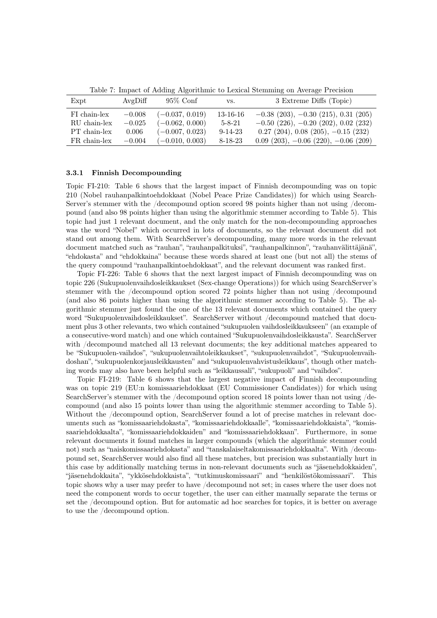| Expt         | AveDiff  | $95\%$ Conf       | VS.            | 3 Extreme Diffs (Topic)                            |
|--------------|----------|-------------------|----------------|----------------------------------------------------|
| FI chain-lex | $-0.008$ | $(-0.037, 0.019)$ | $13 - 16 - 16$ | $-0.38$ (203), $-0.30$ (215), 0.31 (205)           |
| RU chain-lex | $-0.025$ | $(-0.062, 0.000)$ | 5-8-21         | $-0.50$ (226), $-0.20$ (202), 0.02 (232)           |
| PT chain-lex | 0.006    | $(-0.007, 0.023)$ | $9-14-23$      | $0.27$ (204), $0.08$ (205), $-0.15$ (232)          |
| FR chain-lex | $-0.004$ | $(-0.010, 0.003)$ | 8-18-23        | $0.09$ $(203)$ , $-0.06$ $(220)$ , $-0.06$ $(209)$ |

Table 7: Impact of Adding Algorithmic to Lexical Stemming on Average Precision

#### 3.3.1 Finnish Decompounding

Topic FI-210: Table 6 shows that the largest impact of Finnish decompounding was on topic 210 (Nobel rauhanpalkintoehdokkaat (Nobel Peace Prize Candidates)) for which using Search-Server's stemmer with the /decompound option scored 98 points higher than not using /decompound (and also 98 points higher than using the algorithmic stemmer according to Table 5). This topic had just 1 relevant document, and the only match for the non-decompounding approaches was the word "Nobel" which occurred in lots of documents, so the relevant document did not stand out among them. With SearchServer's decompounding, many more words in the relevant document matched such as "rauhan", "rauhanpalkituksi", "rauhanpalkinnon", "rauhanvälittäjänä", "ehdokasta" and "ehdokkaina" because these words shared at least one (but not all) the stems of the query compound "rauhanpalkintoehdokkaat", and the relevant document was ranked first.

Topic FI-226: Table 6 shows that the next largest impact of Finnish decompounding was on topic 226 (Sukupuolenvaihdosleikkaukset (Sex-change Operations)) for which using SearchServer's stemmer with the /decompound option scored 72 points higher than not using /decompound (and also 86 points higher than using the algorithmic stemmer according to Table 5). The algorithmic stemmer just found the one of the 13 relevant documents which contained the query word "Sukupuolenvaihdosleikkaukset". SearchServer without /decompound matched that document plus 3 other relevants, two which contained "sukupuolen vaihdosleikkaukseen" (an example of a consecutive-word match) and one which contained "Sukupuolenvaihdosleikkausta". SearchServer with /decompound matched all 13 relevant documents; the key additional matches appeared to be "Sukupuolen-vaihdos", "sukupuolenvaihtoleikkaukset", "sukupuolenvaihdot", "Sukupuolenvaihdoshan", "sukupuolenkorjausleikkausten" and "sukupuolenvahvistusleikkaus", though other matching words may also have been helpful such as "leikkaussali", "sukupuoli" and "vaihdos".

Topic FI-219: Table 6 shows that the largest negative impact of Finnish decompounding was on topic 219 (EU:n komissaariehdokkaat (EU Commissioner Candidates)) for which using SearchServer's stemmer with the /decompound option scored 18 points lower than not using /decompound (and also 15 points lower than using the algorithmic stemmer according to Table 5). Without the /decompound option, SearchServer found a lot of precise matches in relevant documents such as "komissaariehdokasta", "komissaariehdokkaalle", "komissaariehdokkaista", "komissaariehdokkaalta", "komissaariehdokkaiden" and "komissaariehdokkaan". Furthermore, in some relevant documents it found matches in larger compounds (which the algorithmic stemmer could not) such as "naiskomissaariehdokasta" and "tanskalaiseltakomissaariehdokkaalta". With /decompound set, SearchServer would also find all these matches, but precision was substantially hurt in this case by additionally matching terms in non-relevant documents such as "jäsenehdokkaiden", "jäsenehdokkaita", "ykkösehdokkaista", "tutkimuskomissaari" and "henkilöstökomissaari". This topic shows why a user may prefer to have /decompound not set; in cases where the user does not need the component words to occur together, the user can either manually separate the terms or set the /decompound option. But for automatic ad hoc searches for topics, it is better on average to use the /decompound option.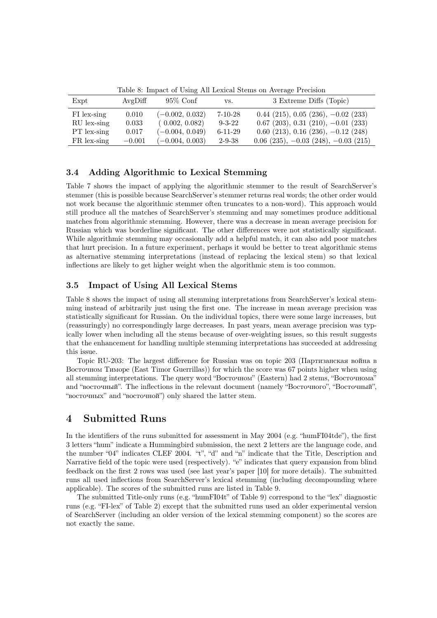| Expt        | AvgDiff  | $95\%$ Conf       | VS.           | 3 Extreme Diffs (Topic)                    |
|-------------|----------|-------------------|---------------|--------------------------------------------|
| FI lex-sing | 0.010    | $(-0.002, 0.032)$ | $7 - 10 - 28$ | $0.44$ (215), $0.05$ (236), $-0.02$ (233)  |
| RU lex-sing | 0.033    | (0.002, 0.082)    | $9 - 3 - 22$  | $0.67$ (203), 0.31 (210), $-0.01$ (233)    |
| PT lex-sing | 0.017    | $(-0.004, 0.049)$ | $6 - 11 - 29$ | $0.60$ (213), $0.16$ (236), $-0.12$ (248)  |
| FR lex-sing | $-0.001$ | $(-0.004, 0.003)$ | $2 - 9 - 38$  | $0.06$ (235), $-0.03$ (248), $-0.03$ (215) |

Table 8: Impact of Using All Lexical Stems on Average Precision

## 3.4 Adding Algorithmic to Lexical Stemming

Table 7 shows the impact of applying the algorithmic stemmer to the result of SearchServer's stemmer (this is possible because SearchServer's stemmer returns real words; the other order would not work because the algorithmic stemmer often truncates to a non-word). This approach would still produce all the matches of SearchServer's stemming and may sometimes produce additional matches from algorithmic stemming. However, there was a decrease in mean average precision for Russian which was borderline significant. The other differences were not statistically significant. While algorithmic stemming may occasionally add a helpful match, it can also add poor matches that hurt precision. In a future experiment, perhaps it would be better to treat algorithmic stems as alternative stemming interpretations (instead of replacing the lexical stem) so that lexical inflections are likely to get higher weight when the algorithmic stem is too common.

## 3.5 Impact of Using All Lexical Stems

Table 8 shows the impact of using all stemming interpretations from SearchServer's lexical stemming instead of arbitrarily just using the first one. The increase in mean average precision was statistically significant for Russian. On the individual topics, there were some large increases, but (reassuringly) no correspondingly large decreases. In past years, mean average precision was typically lower when including all the stems because of over-weighting issues, so this result suggests that the enhancement for handling multiple stemming interpretations has succeeded at addressing this issue.

Topic RU-203: The largest difference for Russian was on topic 203 (Партизанская война в Восточном Тиморе (East Timor Guerrillas)) for which the score was 67 points higher when using all stemming interpretations. The query word "Восточном" (Eastern) had 2 stems, "Восточнома" and "восточный". The inflections in the relevant document (namely "Восточного", "Восточный", "восточных" and "восточной") only shared the latter stem.

## 4 Submitted Runs

In the identifiers of the runs submitted for assessment in May 2004 (e.g. "humFI04tde"), the first 3 letters "hum" indicate a Hummingbird submission, the next 2 letters are the language code, and the number "04" indicates CLEF 2004. "t", "d" and "n" indicate that the Title, Description and Narrative field of the topic were used (respectively). "e" indicates that query expansion from blind feedback on the first 2 rows was used (see last year's paper [10] for more details). The submitted runs all used inflections from SearchServer's lexical stemming (including decompounding where applicable). The scores of the submitted runs are listed in Table 9.

The submitted Title-only runs (e.g. "humFI04t" of Table 9) correspond to the "lex" diagnostic runs (e.g. "FI-lex" of Table 2) except that the submitted runs used an older experimental version of SearchServer (including an older version of the lexical stemming component) so the scores are not exactly the same.